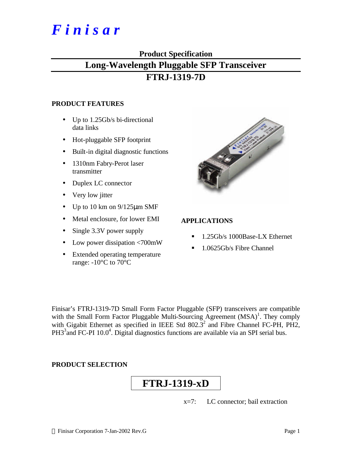# *F i n i s a r*

# **Product Specification**

# **Long-Wavelength Pluggable SFP Transceiver**

# **FTRJ-1319-7D**

#### **PRODUCT FEATURES**

- Up to 1.25Gb/s bi-directional data links
- Hot-pluggable SFP footprint
- Built-in digital diagnostic functions
- 1310nm Fabry-Perot laser transmitter
- Duplex LC connector
- Very low jitter
- Up to 10 km on 9/125μm SMF
- Metal enclosure, for lower EMI
- Single 3.3V power supply
- Low power dissipation <700mW
- Extended operating temperature range: -10°C to 70°C



### **APPLICATIONS**

- ß 1.25Gb/s 1000Base-LX Ethernet
- ß 1.0625Gb/s Fibre Channel

Finisar's FTRJ-1319-7D Small Form Factor Pluggable (SFP) transceivers are compatible with the Small Form Factor Pluggable Multi-Sourcing Agreement  $(MSA)^1$ . They comply with Gigabit Ethernet as specified in IEEE Std  $802.3^2$  and Fibre Channel FC-PH, PH2,  $PH3<sup>3</sup>$  and FC-PI 10.0<sup>4</sup>. Digital diagnostics functions are available via an SPI serial bus.

#### **PRODUCT SELECTION**

# **FTRJ-1319-xD**

x=7: LC connector; bail extraction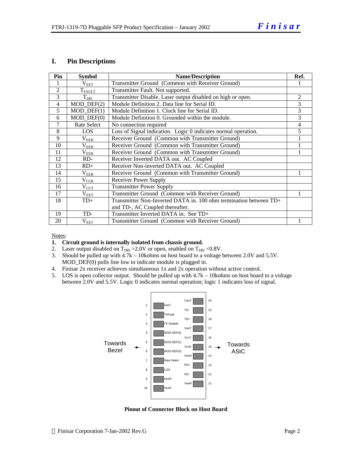#### **I. Pin Descriptions**

| Pin            | <b>Symbol</b>               | <b>Name/Description</b>                                           |                |  |  |
|----------------|-----------------------------|-------------------------------------------------------------------|----------------|--|--|
|                | $\rm V_{EET}$               | Transmitter Ground (Common with Receiver Ground)                  |                |  |  |
| $\overline{2}$ | <b>T</b> FAULT              | Transmitter Fault. Not supported.                                 |                |  |  |
| 3              | $\mathrm{T}_{\mathrm{DIS}}$ | Transmitter Disable. Laser output disabled on high or open.       | $\mathfrak{D}$ |  |  |
| $\overline{4}$ | $MOD_$ DEF $(2)$            | Module Definition 2. Data line for Serial ID.                     | 3              |  |  |
| 5              | $MOD_$ DEF(1)               | Module Definition 1. Clock line for Serial ID.                    | 3              |  |  |
| 6              | $MOD_$ DEF $(0)$            | Module Definition 0. Grounded within the module.                  | 3              |  |  |
| 7              | Rate Select                 | No connection required                                            | 4              |  |  |
| 8              | <b>LOS</b>                  | Loss of Signal indication. Logic 0 indicates normal operation.    | 5              |  |  |
| 9              | $\rm V_{EER}$               | Receiver Ground (Common with Transmitter Ground)                  |                |  |  |
| 10             | $\rm V_{EER}$               | Receiver Ground (Common with Transmitter Ground)                  |                |  |  |
| 11             | $\rm V_{EER}$               | Receiver Ground (Common with Transmitter Ground)                  |                |  |  |
| 12             | RD-                         | Receiver Inverted DATA out. AC Coupled                            |                |  |  |
| 13             | $RD+$                       | Receiver Non-inverted DATA out. AC Coupled                        |                |  |  |
| 14             | $\rm V_{EER}$               | Receiver Ground (Common with Transmitter Ground)                  |                |  |  |
| 15             | $\rm V_{CCR}$               | <b>Receiver Power Supply</b>                                      |                |  |  |
| 16             | $V_{CCL}$                   | <b>Transmitter Power Supply</b>                                   |                |  |  |
| 17             | $V_{EET}$                   | Transmitter Ground (Common with Receiver Ground)                  |                |  |  |
| 18             | $TD+$                       | Transmitter Non-Inverted DATA in. 100 ohm termination between TD+ |                |  |  |
|                |                             | and TD-, AC Coupled thereafter.                                   |                |  |  |
| 19             | TD-                         | Transmitter Inverted DATA in. See TD+                             |                |  |  |
| 20             | $\rm V_{EET}$               | Transmitter Ground (Common with Receiver Ground)                  |                |  |  |

Notes:

#### **1. Circuit ground is internally isolated from chassis ground.**

- 
- 2. Laser output disabled on  $T_{\text{DIS}} > 2.0V$  or open, enabled on  $T_{\text{DIS}} < 0.8V$ .<br>3. Should be pulled up with  $4.7k 10$ kohms on host board to a voltage l 3. Should be pulled up with 4.7k – 10kohms on host board to a voltage between 2.0V and 5.5V. MOD\_DEF(0) pulls line low to indicate module is plugged in.
- 4. Finisar 2x receiver achieves simultaneous 1x and 2x operation without active control.
- 5. LOS is open collector output. Should be pulled up with 4.7k 10kohms on host board to a voltage between 2.0V and 5.5V. Logic 0 indicates normal operation; logic 1 indicates loss of signal.



**Pinout of Connector Block on Host Board**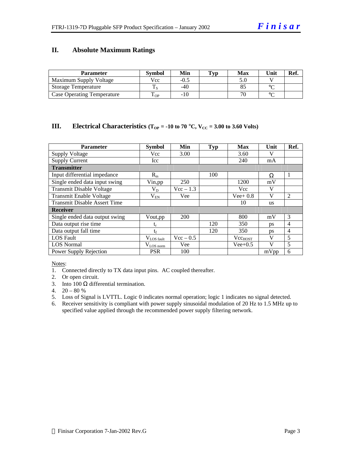#### **II. Absolute Maximum Ratings**

| <b>Parameter</b>           | Svmbol                         | Min    | Typ | <b>Max</b> | Unit   | Ref. |
|----------------------------|--------------------------------|--------|-----|------------|--------|------|
| Maximum Supply Voltage     | Vcc                            | $-0.5$ |     | D.C        |        |      |
| <b>Storage Temperature</b> |                                | $-40$  |     |            | $\sim$ |      |
| Case Operating Temperature | $\mathbf{r}$<br>$\triangle$ OP | $-10$  |     |            | $\sim$ |      |

#### **III. Electrical Characteristics**  $(T_{OP} = -10 \text{ to } 70 \text{ °C}, V_{CC} = 3.00 \text{ to } 3.60 \text{ Volts})$

| <b>Parameter</b>                    | <b>Symbol</b>      | Min         | <b>Typ</b> | <b>Max</b>   | Unit         | Ref.           |
|-------------------------------------|--------------------|-------------|------------|--------------|--------------|----------------|
| <b>Supply Voltage</b>               | <b>Vcc</b>         | 3.00        |            | 3.60         | V            |                |
| <b>Supply Current</b>               | Icc                |             |            | 240          | mA           |                |
| <b>Transmitter</b>                  |                    |             |            |              |              |                |
| Input differential impedance        | $R_{in}$           |             | 100        |              | Ω            | 1              |
| Single ended data input swing       | Vin, pp            | 250         |            | 1200         | mV           |                |
| <b>Transmit Disable Voltage</b>     | $V_D$              | $Vec - 1.3$ |            | Vcc          | V            |                |
| <b>Transmit Enable Voltage</b>      | $\rm V_{EN}$       | Vee         |            | $Vee+0.8$    | V            | 2              |
| <b>Transmit Disable Assert Time</b> |                    |             |            | 10           | <b>us</b>    |                |
| <b>Receiver</b>                     |                    |             |            |              |              |                |
| Single ended data output swing      | Vout, pp           | 200         |            | 800          | mV           | 3              |
| Data output rise time               | $t_{r}$            |             | 120        | 350          | ps           | $\overline{4}$ |
| Data output fall time               | $t_{\rm f}$        |             | 120        | 350          | ps           | $\overline{4}$ |
| <b>LOS Fault</b>                    | $V_{LOS \, fault}$ | $Vec - 0.5$ |            | $Vec_{HOST}$ | V            | 5              |
| <b>LOS</b> Normal                   | $V_{LOS\, norm}$   | Vee         |            | $Vee+0.5$    | $\mathbf{V}$ | 5              |
| <b>Power Supply Rejection</b>       | <b>PSR</b>         | 100         |            |              | mVpp         | 6              |

Notes:

1. Connected directly to TX data input pins. AC coupled thereafter.

2. Or open circuit.

- 3. Into 100  $\Omega$  differential termination.
- 4.  $20 80 %$
- 5. Loss of Signal is LVTTL. Logic 0 indicates normal operation; logic 1 indicates no signal detected.
- 6. Receiver sensitivity is compliant with power supply sinusoidal modulation of 20 Hz to 1.5 MHz up to specified value applied through the recommended power supply filtering network.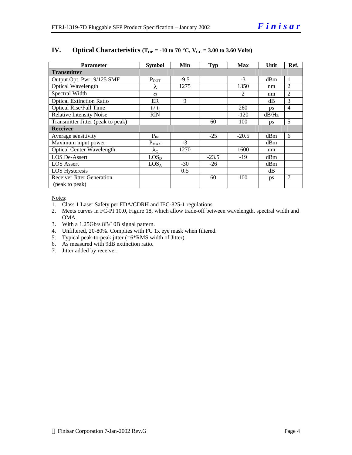| <b>Parameter</b>                  | <b>Symbol</b>     | Min    | <b>Typ</b> | <b>Max</b>     | Unit  | Ref.           |
|-----------------------------------|-------------------|--------|------------|----------------|-------|----------------|
| <b>Transmitter</b>                |                   |        |            |                |       |                |
| Output Opt. Pwr: 9/125 SMF        | $P_{\text{OUT}}$  | $-9.5$ |            | $-3$           | dBm   | $\mathbf{1}$   |
| Optical Wavelength                | λ                 | 1275   |            | 1350           | nm    | 2              |
| Spectral Width                    | σ                 |        |            | $\mathfrak{D}$ | nm    | $\overline{2}$ |
| <b>Optical Extinction Ratio</b>   | ER                | 9      |            |                | dB    | 3              |
| Optical Rise/Fall Time            | $t_r / t_f$       |        |            | 260            | ps    | $\overline{4}$ |
| <b>Relative Intensity Noise</b>   | <b>RIN</b>        |        |            | $-120$         | dB/Hz |                |
| Transmitter Jitter (peak to peak) |                   |        | 60         | 100            | ps    | 5              |
| <b>Receiver</b>                   |                   |        |            |                |       |                |
| Average sensitivity               | $P_{IN}$          |        | $-25$      | $-20.5$        | dBm   | 6              |
| Maximum input power               | $P_{MAX}$         | $-3$   |            |                | dBm   |                |
| <b>Optical Center Wavelength</b>  | $\lambda_{\rm C}$ | 1270   |            | 1600           | nm    |                |
| <b>LOS De-Assert</b>              | LOS <sub>D</sub>  |        | $-23.5$    | $-19$          | dBm   |                |
| <b>LOS</b> Assert                 | LOS <sub>A</sub>  | $-30$  | $-26$      |                | dBm   |                |
| <b>LOS Hysteresis</b>             |                   | 0.5    |            |                | dB    |                |
| Receiver Jitter Generation        |                   |        | 60         | 100            | ps    | 7              |
| (peak to peak)                    |                   |        |            |                |       |                |

#### **IV. Optical Characteristics**  $(T_{OP} = -10 \text{ to } 70 \text{ °C}, V_{CC} = 3.00 \text{ to } 3.60 \text{ Volts})$

Notes:

- 1. Class 1 Laser Safety per FDA/CDRH and IEC-825-1 regulations.
- 2. Meets curves in FC-PI 10.0, Figure 18, which allow trade-off between wavelength, spectral width and OMA.
- 3. With a 1.25Gb/s 8B/10B signal pattern.
- 4. Unfiltered, 20-80%. Complies with FC 1x eye mask when filtered.
- 5. Typical peak-to-peak jitter (=6\*RMS width of Jitter).
- 6. As measured with 9dB extinction ratio.
- 7. Jitter added by receiver.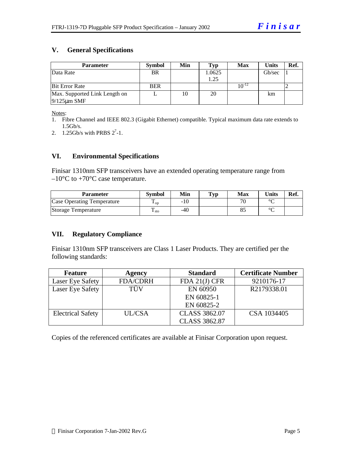#### **V. General Specifications**

| <b>Parameter</b>              | <b>Symbol</b> | Min | <b>Typ</b> | Max        | <b>Units</b> | Ref. |
|-------------------------------|---------------|-----|------------|------------|--------------|------|
| Data Rate                     | <b>BR</b>     |     | 1.0625     |            | Gb/sec       |      |
|                               |               |     | 1.25       |            |              |      |
| <b>Bit Error Rate</b>         | <b>BER</b>    |     |            | $10^{-12}$ |              |      |
| Max. Supported Link Length on |               | 10  | 20         |            | km           |      |
| $9/125 \mu m$ SMF             |               |     |            |            |              |      |

Notes:

- 1. Fibre Channel and IEEE 802.3 (Gigabit Ethernet) compatible. Typical maximum data rate extends to 1.5Gb/s.
- 2.  $1.25$ Gb/s with PRBS  $2^7$ -1.

#### **VI. Environmental Specifications**

Finisar 1310nm SFP transceivers have an extended operating temperature range from  $-10^{\circ}$ C to +70 $^{\circ}$ C case temperature.

| <b>Parameter</b>                  | <b>Symbol</b>     | Min   | <b>Typ</b> | Max                      | <b>Units</b> | Ref. |
|-----------------------------------|-------------------|-------|------------|--------------------------|--------------|------|
| <b>Case Operating Temperature</b> | m<br>⊥ ∩n         | $-10$ |            | $\overline{\phantom{a}}$ | $\sim$       |      |
| Storage Temperature               | $\frac{1}{1}$ sto | $-40$ |            |                          | $\sim$       |      |

#### **VII. Regulatory Compliance**

Finisar 1310nm SFP transceivers are Class 1 Laser Products. They are certified per the following standards:

| <b>Feature</b>           | Agency          | <b>Standard</b>      | <b>Certificate Number</b> |
|--------------------------|-----------------|----------------------|---------------------------|
| Laser Eye Safety         | <b>FDA/CDRH</b> | FDA 21(J) CFR        | 9210176-17                |
| Laser Eye Safety         | TÜV             | EN 60950             | R2179338.01               |
|                          |                 | EN 60825-1           |                           |
|                          |                 | EN 60825-2           |                           |
| <b>Electrical Safety</b> | <b>UL/CSA</b>   | <b>CLASS 3862.07</b> | CSA 1034405               |
|                          |                 | <b>CLASS 3862.87</b> |                           |

Copies of the referenced certificates are available at Finisar Corporation upon request.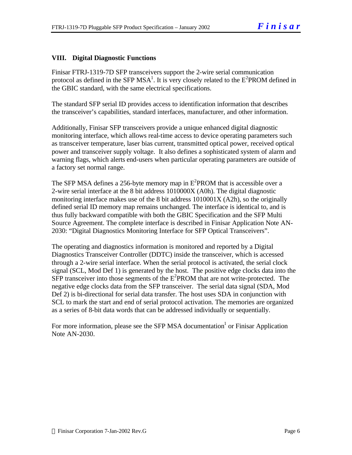#### **VIII. Digital Diagnostic Functions**

Finisar FTRJ-1319-7D SFP transceivers support the 2-wire serial communication protocol as defined in the SFP MSA<sup>1</sup>. It is very closely related to the  $E^2$ PROM defined in the GBIC standard, with the same electrical specifications.

The standard SFP serial ID provides access to identification information that describes the transceiver's capabilities, standard interfaces, manufacturer, and other information.

Additionally, Finisar SFP transceivers provide a unique enhanced digital diagnostic monitoring interface, which allows real-time access to device operating parameters such as transceiver temperature, laser bias current, transmitted optical power, received optical power and transceiver supply voltage. It also defines a sophisticated system of alarm and warning flags, which alerts end-users when particular operating parameters are outside of a factory set normal range.

The SFP MSA defines a 256-byte memory map in  $E^2$ PROM that is accessible over a 2-wire serial interface at the 8 bit address 1010000X (A0h). The digital diagnostic monitoring interface makes use of the 8 bit address 1010001X (A2h), so the originally defined serial ID memory map remains unchanged. The interface is identical to, and is thus fully backward compatible with both the GBIC Specification and the SFP Multi Source Agreement. The complete interface is described in Finisar Application Note AN-2030: "Digital Diagnostics Monitoring Interface for SFP Optical Transceivers".

The operating and diagnostics information is monitored and reported by a Digital Diagnostics Transceiver Controller (DDTC) inside the transceiver, which is accessed through a 2-wire serial interface. When the serial protocol is activated, the serial clock signal (SCL, Mod Def 1) is generated by the host. The positive edge clocks data into the  $SFP$  transceiver into those segments of the  $E^2$ PROM that are not write-protected. The negative edge clocks data from the SFP transceiver. The serial data signal (SDA, Mod Def 2) is bi-directional for serial data transfer. The host uses SDA in conjunction with SCL to mark the start and end of serial protocol activation. The memories are organized as a series of 8-bit data words that can be addressed individually or sequentially.

For more information, please see the SFP MSA documentation<sup>1</sup> or Finisar Application Note AN-2030.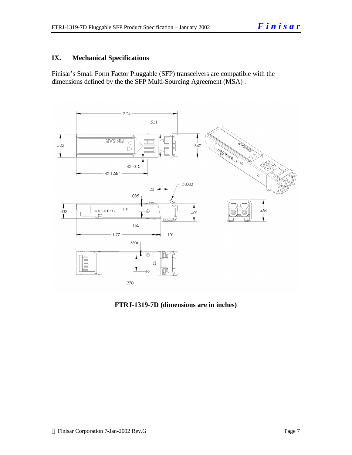#### **IX. Mechanical Specifications**

Finisar's Small Form Factor Pluggable (SFP) transceivers are compatible with the dimensions defined by the the SFP Multi-Sourcing Agreement  $(MSA)^{1}$ .



#### **FTRJ-1319-7D (dimensions are in inches)**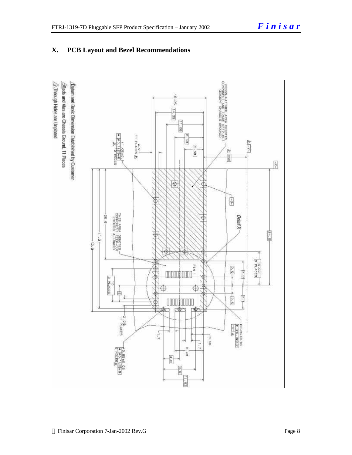#### CROSS-HATCHED AREA LENDIES<br>COMPONENT AND TRACK SEP-CU<br>COMPONENT CHASSIS CROSS ā ġ, 14.25 8 **B. 5B** a,oJ<br>htera& 山下 **S.68** Þ хідаі<br>У НОСЕБ  $\frac{1}{2}$  $\frac{1}{\lambda}$ 佤  $\bigcirc$  $\frac{1}{2}$  $\overline{\Phi}$ **THIS AREA**<br>COMPONENT A  $-96.8 -$ Detail X φ  $34.5$  $-4.1 - 3 \oplus$ **REP-001ES**  $42.3 \overline{\oplus}$ Φ Ф a PLACES  $1$  N1d  $2.5 - 7$  $\frac{\Theta}{\Phi}$  $17.2 +$ B PLACES ¢ Ю  $\bigoplus$ 中  $\frac{1}{2.5}$ ł ġ  $\color{black}\Phi$ Ш 中 ぱ ÷, ल -2.0Å<br>11 PLACES  $-40.8540$ <br> $+1.8$ <br> $+1.8$  $2 - 1 - 1$  $-3.68$  $-1.2$ m  $\frac{1}{10}$  $4.8$ **B.B** [11, 93]

# **X. PCB Layout and Bezel Recommendations**

 $\hat{\triangle}$ . Through Holes are Unplated /Datum and Basic Dimension Established by Customer Bads and Vias are Chassis Ground, 11 Places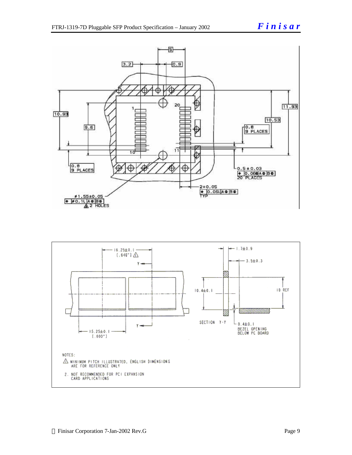